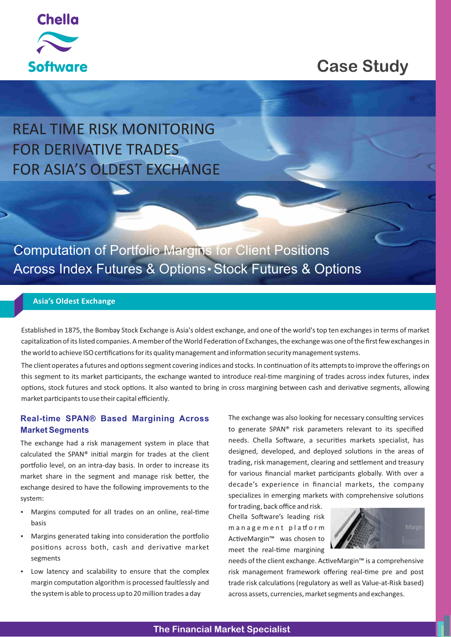

## **Case Study**

# REAL TIME RISK MONITORING FOR DERIVATIVE TRADES FOR ASIA'S OLDEST EXCHANGE

Computation of Portfolio Margins for Client Positions Across Index Futures & Options · Stock Futures & Options

## **Asia's Oldest Exchange**

Established in 1875, the Bombay Stock Exchange is Asia's oldest exchange, and one of the world's top ten exchanges in terms of market capitalization of its listed companies. A member of the World Federation of Exchanges, the exchange was one of the first few exchanges in the world to achieve ISO certifications for its quality management and information security management systems.

The client operates a futures and options segment covering indices and stocks. In continuation of its attempts to improve the offerings on this segment to its market participants, the exchange wanted to introduce real-time margining of trades across index futures, index options, stock futures and stock options. It also wanted to bring in cross margining between cash and derivative segments, allowing market participants to use their capital efficiently.

## **Real-time SPAN® Based Margining Across Market Segments**

The exchange had a risk management system in place that calculated the SPAN® initial margin for trades at the client portfolio level, on an intra-day basis. In order to increase its market share in the segment and manage risk better, the exchange desired to have the following improvements to the system:

- Margins computed for all trades on an online, real-time basis
- Margins generated taking into consideration the portfolio positions across both, cash and derivative market segments
- Low latency and scalability to ensure that the complex margin computation algorithm is processed faultlessly and the system is able to process up to 20 million trades a day

The exchange was also looking for necessary consulting services to generate SPAN® risk parameters relevant to its specified needs. Chella Software, a securities markets specialist, has designed, developed, and deployed solutions in the areas of trading, risk management, clearing and settlement and treasury for various financial market participants globally. With over a decade's experience in financial markets, the company specializes in emerging markets with comprehensive solutions

for trading, back office and risk. Chella Software's leading risk management platform ActiveMargin™ was chosen to meet the real-time margining



needs of the client exchange. ActiveMargin™ is a comprehensive risk management framework offering real-time pre and post trade risk calculations (regulatory as well as Value-at-Risk based) across assets, currencies, market segments and exchanges.